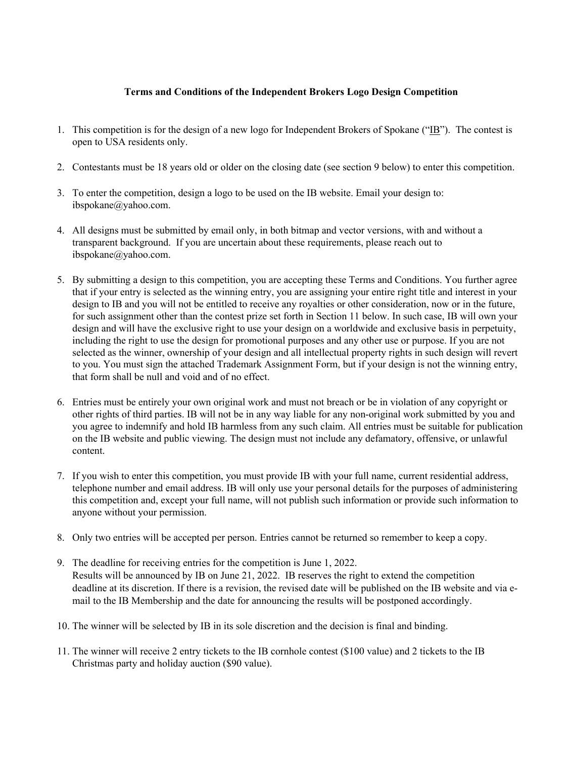## **Terms and Conditions of the Independent Brokers Logo Design Competition**

- 1. This competition is for the design of a new logo for Independent Brokers of Spokane (" $\underline{IB}$ "). The contest is open to USA residents only.
- 2. Contestants must be 18 years old or older on the closing date (see section 9 below) to enter this competition.
- 3. To enter the competition, design a logo to be used on the IB website. Email your design to: ibspokane@yahoo.com.
- 4. All designs must be submitted by email only, in both bitmap and vector versions, with and without a transparent background. If you are uncertain about these requirements, please reach out to ibspokane@yahoo.com.
- 5. By submitting a design to this competition, you are accepting these Terms and Conditions. You further agree that if your entry is selected as the winning entry, you are assigning your entire right title and interest in your design to IB and you will not be entitled to receive any royalties or other consideration, now or in the future, for such assignment other than the contest prize set forth in Section 11 below. In such case, IB will own your design and will have the exclusive right to use your design on a worldwide and exclusive basis in perpetuity, including the right to use the design for promotional purposes and any other use or purpose. If you are not selected as the winner, ownership of your design and all intellectual property rights in such design will revert to you. You must sign the attached Trademark Assignment Form, but if your design is not the winning entry, that form shall be null and void and of no effect.
- 6. Entries must be entirely your own original work and must not breach or be in violation of any copyright or other rights of third parties. IB will not be in any way liable for any non-original work submitted by you and you agree to indemnify and hold IB harmless from any such claim. All entries must be suitable for publication on the IB website and public viewing. The design must not include any defamatory, offensive, or unlawful content.
- 7. If you wish to enter this competition, you must provide IB with your full name, current residential address, telephone number and email address. IB will only use your personal details for the purposes of administering this competition and, except your full name, will not publish such information or provide such information to anyone without your permission.
- 8. Only two entries will be accepted per person. Entries cannot be returned so remember to keep a copy.
- 9. The deadline for receiving entries for the competition is June 1, 2022. Results will be announced by IB on June 21, 2022. IB reserves the right to extend the competition deadline at its discretion. If there is a revision, the revised date will be published on the IB website and via email to the IB Membership and the date for announcing the results will be postponed accordingly.
- 10. The winner will be selected by IB in its sole discretion and the decision is final and binding.
- 11. The winner will receive 2 entry tickets to the IB cornhole contest (\$100 value) and 2 tickets to the IB Christmas party and holiday auction (\$90 value).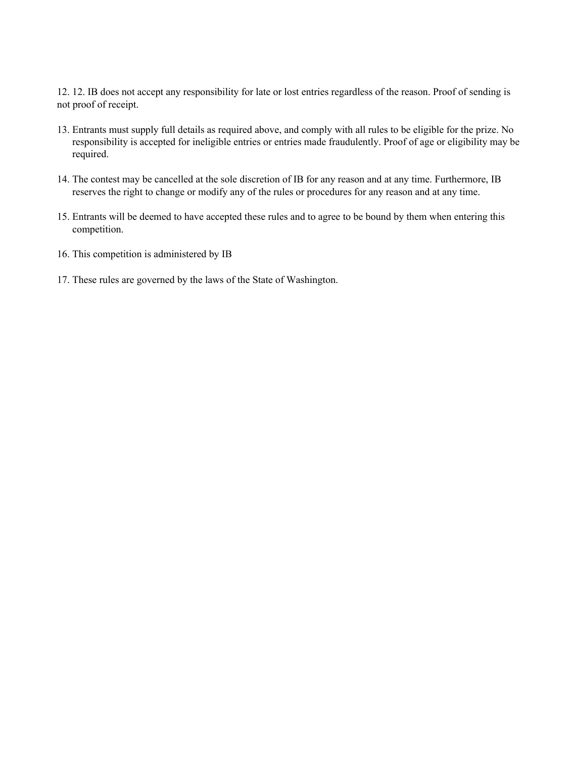12. 12. IB does not accept any responsibility for late or lost entries regardless of the reason. Proof of sending is not proof of receipt.

- 13. Entrants must supply full details as required above, and comply with all rules to be eligible for the prize. No responsibility is accepted for ineligible entries or entries made fraudulently. Proof of age or eligibility may be required.
- 14. The contest may be cancelled at the sole discretion of IB for any reason and at any time. Furthermore, IB reserves the right to change or modify any of the rules or procedures for any reason and at any time.
- 15. Entrants will be deemed to have accepted these rules and to agree to be bound by them when entering this competition.
- 16. This competition is administered by IB
- 17. These rules are governed by the laws of the State of Washington.